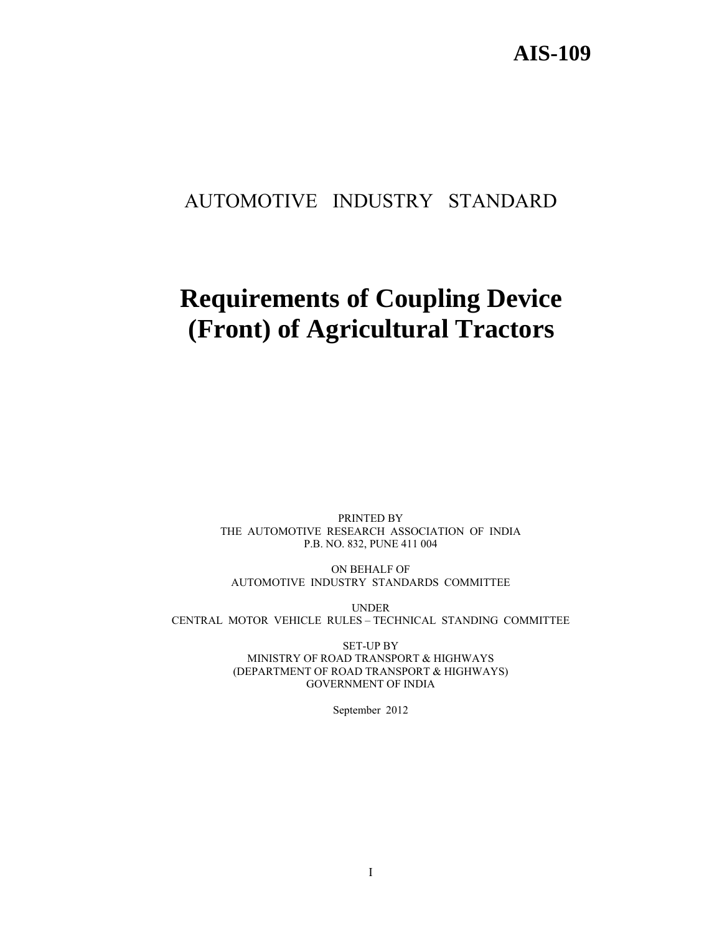# AUTOMOTIVE INDUSTRY STANDARD

# **Requirements of Coupling Device (Front) of Agricultural Tractors**

PRINTED BY THE AUTOMOTIVE RESEARCH ASSOCIATION OF INDIA P.B. NO. 832, PUNE 411 004

ON BEHALF OF AUTOMOTIVE INDUSTRY STANDARDS COMMITTEE

UNDER CENTRAL MOTOR VEHICLE RULES – TECHNICAL STANDING COMMITTEE

> SET-UP BY MINISTRY OF ROAD TRANSPORT & HIGHWAYS (DEPARTMENT OF ROAD TRANSPORT & HIGHWAYS) GOVERNMENT OF INDIA

> > September 2012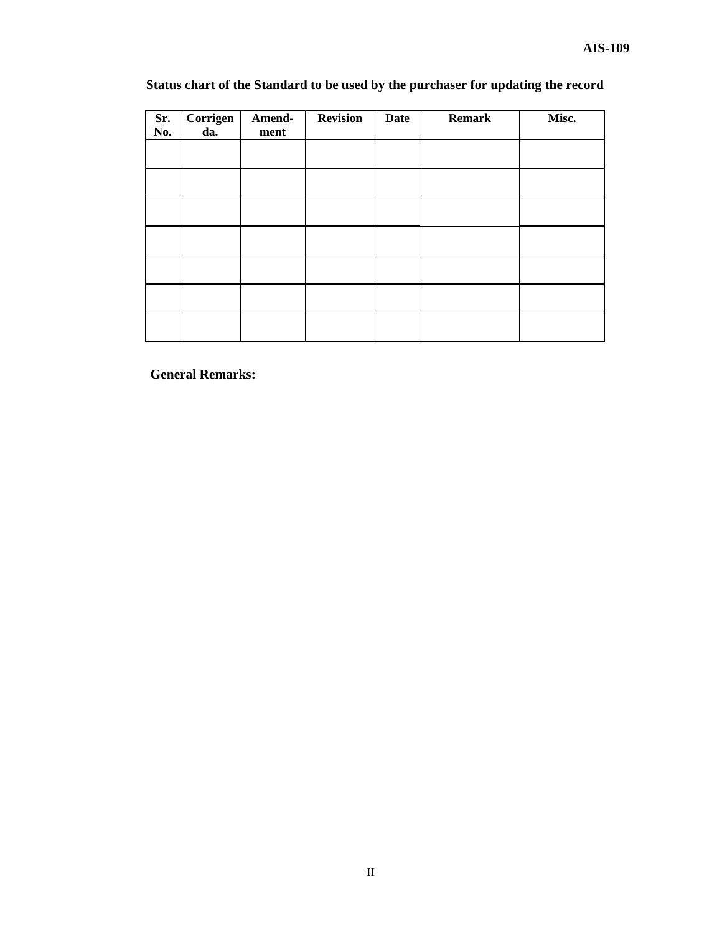## **Status chart of the Standard to be used by the purchaser for updating the record**

| Sr.<br>No. | Corrigen<br>da. | Amend-<br>ment | <b>Revision</b> | <b>Date</b> | <b>Remark</b> | Misc. |
|------------|-----------------|----------------|-----------------|-------------|---------------|-------|
|            |                 |                |                 |             |               |       |
|            |                 |                |                 |             |               |       |
|            |                 |                |                 |             |               |       |
|            |                 |                |                 |             |               |       |
|            |                 |                |                 |             |               |       |
|            |                 |                |                 |             |               |       |
|            |                 |                |                 |             |               |       |

**General Remarks:**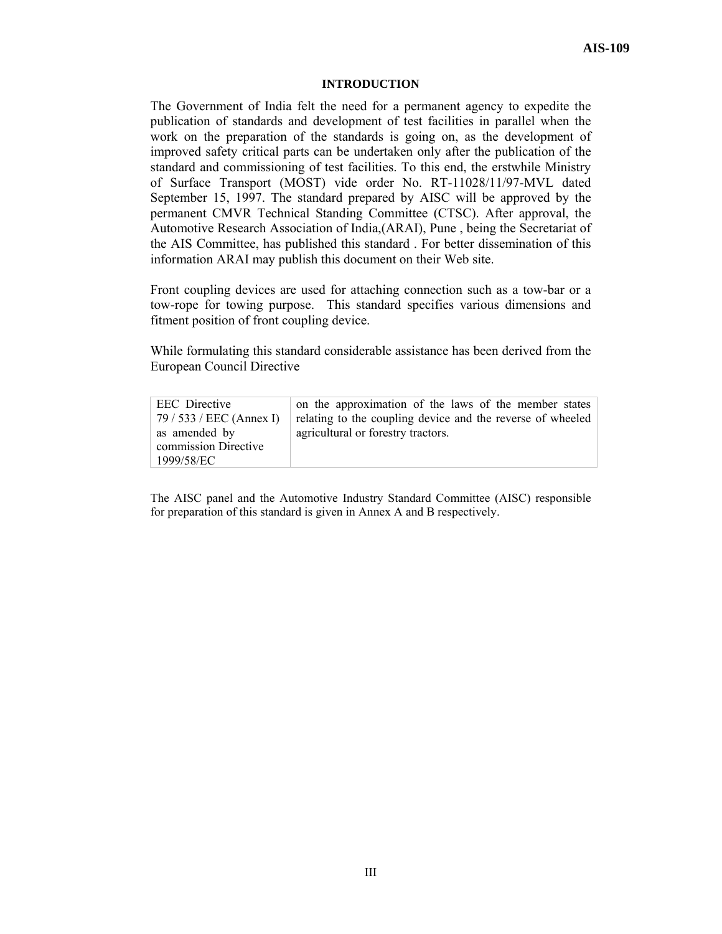#### **INTRODUCTION**

The Government of India felt the need for a permanent agency to expedite the publication of standards and development of test facilities in parallel when the work on the preparation of the standards is going on, as the development of improved safety critical parts can be undertaken only after the publication of the standard and commissioning of test facilities. To this end, the erstwhile Ministry of Surface Transport (MOST) vide order No. RT-11028/11/97-MVL dated September 15, 1997. The standard prepared by AISC will be approved by the permanent CMVR Technical Standing Committee (CTSC). After approval, the Automotive Research Association of India,(ARAI), Pune , being the Secretariat of the AIS Committee, has published this standard . For better dissemination of this information ARAI may publish this document on their Web site.

Front coupling devices are used for attaching connection such as a tow-bar or a tow-rope for towing purpose. This standard specifies various dimensions and fitment position of front coupling device.

While formulating this standard considerable assistance has been derived from the European Council Directive

| <b>EEC</b> Directive     | on the approximation of the laws of the member states      |
|--------------------------|------------------------------------------------------------|
| 79 / 533 / EEC (Annex I) | relating to the coupling device and the reverse of wheeled |
| as amended by            | agricultural or forestry tractors.                         |
| commission Directive     |                                                            |
| 1999/58/EC               |                                                            |
|                          |                                                            |

The AISC panel and the Automotive Industry Standard Committee (AISC) responsible for preparation of this standard is given in Annex A and B respectively.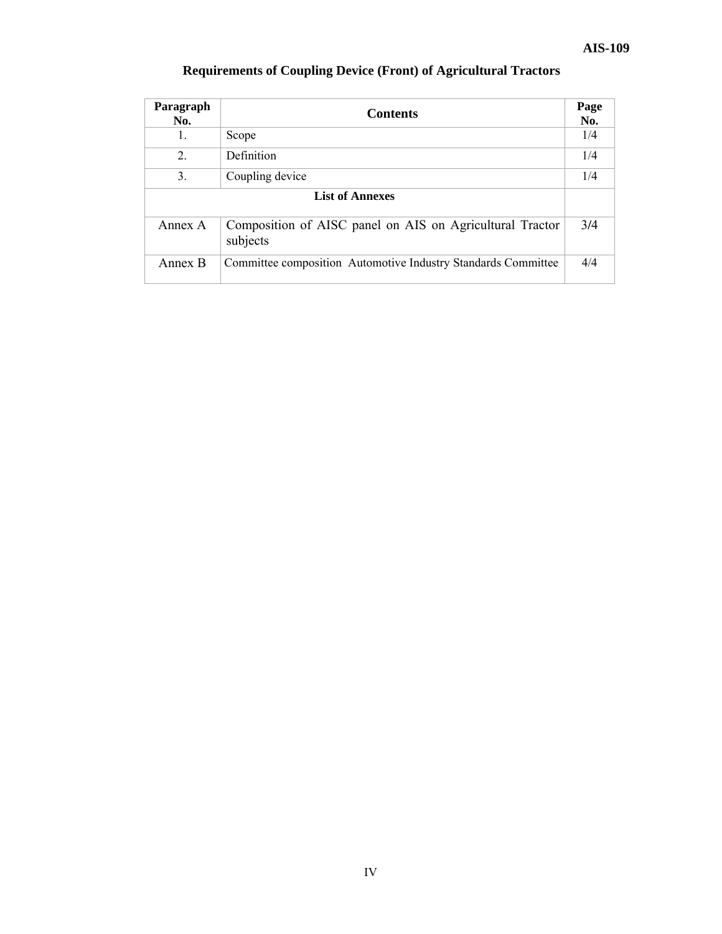| Paragraph<br>No.       | <b>Contents</b>                                                      | Page<br>No. |
|------------------------|----------------------------------------------------------------------|-------------|
| 1.                     | Scope                                                                | 1/4         |
| 2.                     | <b>Definition</b>                                                    | 1/4         |
| 3.                     | Coupling device                                                      |             |
| <b>List of Annexes</b> |                                                                      |             |
| Annex A                | Composition of AISC panel on AIS on Agricultural Tractor<br>subjects | 3/4         |
| Annex B                | Committee composition Automotive Industry Standards Committee        | 4/4         |

## **Requirements of Coupling Device (Front) of Agricultural Tractors**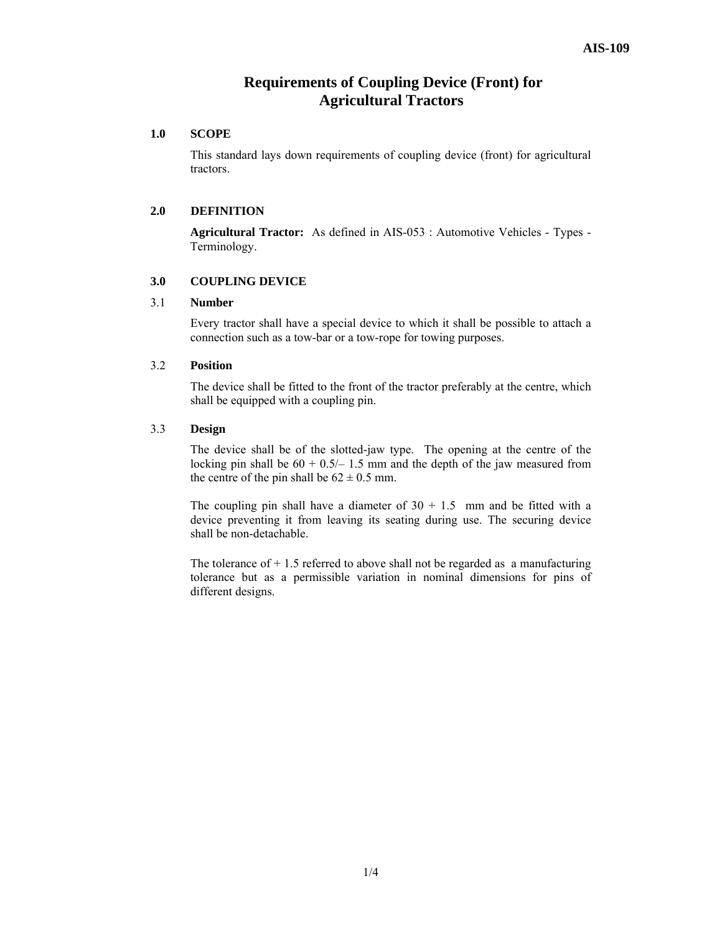### **Requirements of Coupling Device (Front) for Agricultural Tractors**

#### **1.0 SCOPE**

This standard lays down requirements of coupling device (front) for agricultural tractors.

#### **2.0 DEFINITION**

**Agricultural Tractor:** As defined in AIS-053 : Automotive Vehicles - Types - Terminology.

#### **3.0 COUPLING DEVICE**

#### 3.1 **Number**

Every tractor shall have a special device to which it shall be possible to attach a connection such as a tow-bar or a tow-rope for towing purposes.

#### 3.2 **Position**

The device shall be fitted to the front of the tractor preferably at the centre, which shall be equipped with a coupling pin.

#### 3.3 **Design**

The device shall be of the slotted-jaw type. The opening at the centre of the locking pin shall be  $60 + 0.5/- 1.5$  mm and the depth of the jaw measured from the centre of the pin shall be  $62 \pm 0.5$  mm.

The coupling pin shall have a diameter of  $30 + 1.5$  mm and be fitted with a device preventing it from leaving its seating during use. The securing device shall be non-detachable.

The tolerance of  $+1.5$  referred to above shall not be regarded as a manufacturing tolerance but as a permissible variation in nominal dimensions for pins of different designs.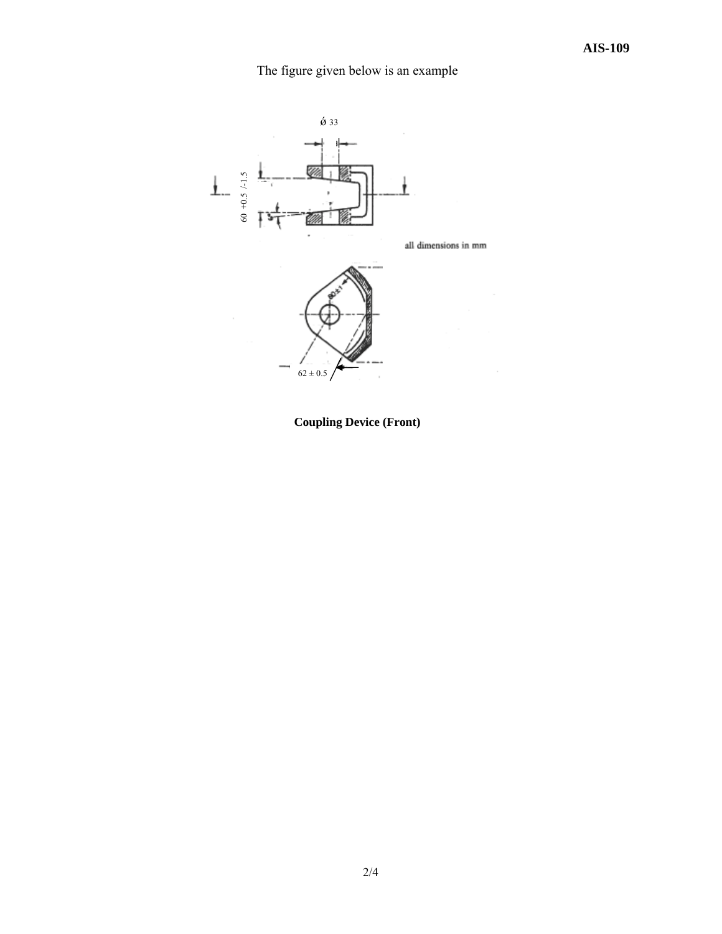## The figure given below is an example



 **Coupling Device (Front)**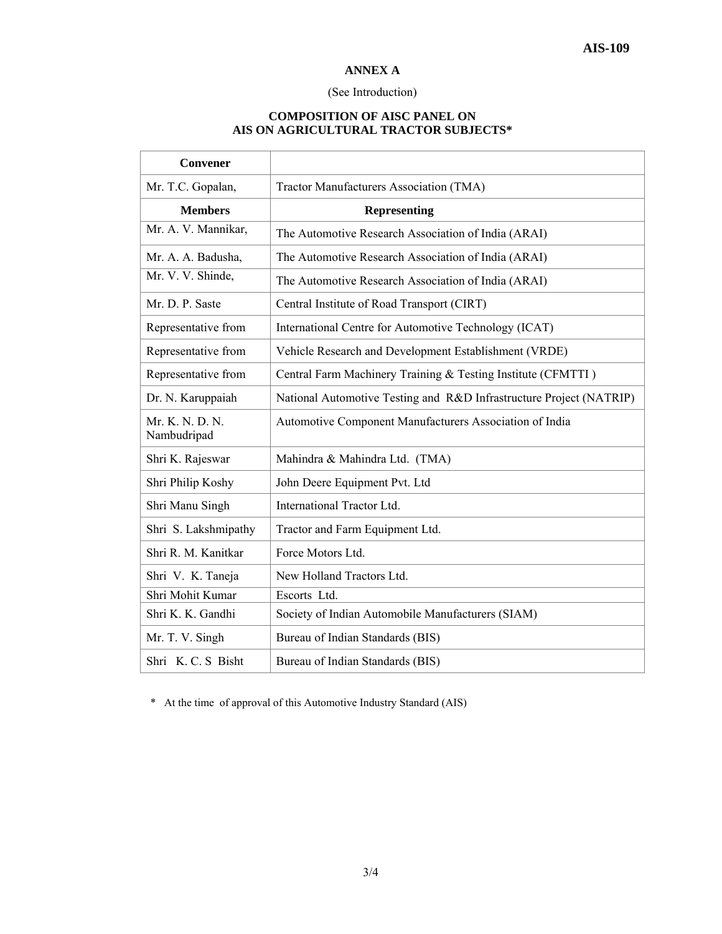#### **ANNEX A**

#### (See Introduction)

#### **COMPOSITION OF AISC PANEL ON AIS ON AGRICULTURAL TRACTOR SUBJECTS\***

| <b>Convener</b>                |                                                                     |
|--------------------------------|---------------------------------------------------------------------|
| Mr. T.C. Gopalan,              | Tractor Manufacturers Association (TMA)                             |
| <b>Members</b>                 | <b>Representing</b>                                                 |
| Mr. A. V. Mannikar,            | The Automotive Research Association of India (ARAI)                 |
| Mr. A. A. Badusha,             | The Automotive Research Association of India (ARAI)                 |
| Mr. V. V. Shinde,              | The Automotive Research Association of India (ARAI)                 |
| Mr. D. P. Saste                | Central Institute of Road Transport (CIRT)                          |
| Representative from            | International Centre for Automotive Technology (ICAT)               |
| Representative from            | Vehicle Research and Development Establishment (VRDE)               |
| Representative from            | Central Farm Machinery Training & Testing Institute (CFMTTI)        |
| Dr. N. Karuppaiah              | National Automotive Testing and R&D Infrastructure Project (NATRIP) |
| Mr. K. N. D. N.<br>Nambudripad | Automotive Component Manufacturers Association of India             |
| Shri K. Rajeswar               | Mahindra & Mahindra Ltd. (TMA)                                      |
| Shri Philip Koshy              | John Deere Equipment Pvt. Ltd                                       |
| Shri Manu Singh                | International Tractor Ltd.                                          |
| Shri S. Lakshmipathy           | Tractor and Farm Equipment Ltd.                                     |
| Shri R. M. Kanitkar            | Force Motors Ltd.                                                   |
| Shri V. K. Taneja              | New Holland Tractors Ltd.                                           |
| Shri Mohit Kumar               | Escorts Ltd.                                                        |
| Shri K. K. Gandhi              | Society of Indian Automobile Manufacturers (SIAM)                   |
| Mr. T. V. Singh                | Bureau of Indian Standards (BIS)                                    |
| Shri K. C. S Bisht             | Bureau of Indian Standards (BIS)                                    |

\* At the time of approval of this Automotive Industry Standard (AIS)